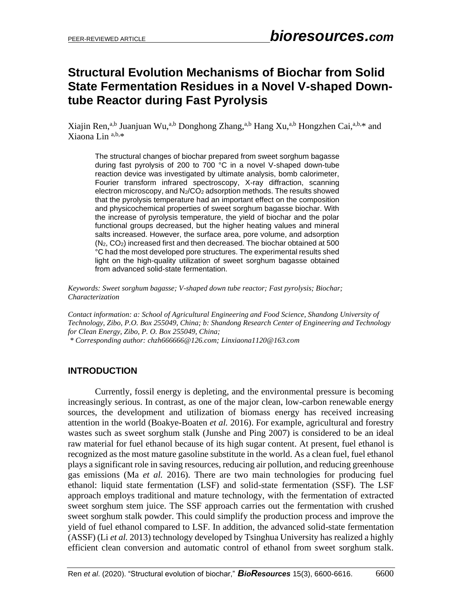# **Structural Evolution Mechanisms of Biochar from Solid State Fermentation Residues in a Novel V-shaped Downtube Reactor during Fast Pyrolysis**

Xiajin Ren,<sup>a,b</sup> Juanjuan Wu,<sup>a,b</sup> Donghong Zhang,<sup>a,b</sup> Hang Xu,<sup>a,b</sup> Hongzhen Cai,<sup>a,b,\*</sup> and Xiaona Lin a,b,\*

The structural changes of biochar prepared from sweet sorghum bagasse during fast pyrolysis of 200 to 700 °C in a novel V-shaped down-tube reaction device was investigated by ultimate analysis, bomb calorimeter, Fourier transform infrared spectroscopy, X-ray diffraction, scanning electron microscopy, and  $N_2/CO_2$  adsorption methods. The results showed that the pyrolysis temperature had an important effect on the composition and physicochemical properties of sweet sorghum bagasse biochar. With the increase of pyrolysis temperature, the yield of biochar and the polar functional groups decreased, but the higher heating values and mineral salts increased. However, the surface area, pore volume, and adsorption (N2, CO2) increased first and then decreased. The biochar obtained at 500 °C had the most developed pore structures. The experimental results shed light on the high-quality utilization of sweet sorghum bagasse obtained from advanced solid-state fermentation.

*Keywords: Sweet sorghum bagasse; V-shaped down tube reactor; Fast pyrolysis; Biochar; Characterization*

*Contact information: a: School of Agricultural Engineering and Food Science, Shandong University of Technology, Zibo, P.O. Box 255049, China; b: Shandong Research Center of Engineering and Technology for Clean Energy, Zibo, P. O. Box 255049, China; \* Corresponding author: chzh666666@126.com; Linxiaona1120@163.com*

# **INTRODUCTION**

Currently, fossil energy is depleting, and the environmental pressure is becoming increasingly serious. In contrast, as one of the major clean, low-carbon renewable energy sources, the development and utilization of biomass energy has received increasing attention in the world (Boakye-Boaten *et al.* 2016). For example, agricultural and forestry wastes such as sweet sorghum stalk (Junshe and Ping 2007) is considered to be an ideal raw material for fuel ethanol because of its high sugar content. At present, fuel ethanol is recognized as the most mature gasoline substitute in the world. As a clean fuel, fuel ethanol plays a significant role in saving resources, reducing air pollution, and reducing greenhouse gas emissions (Ma *et al.* 2016). There are two main technologies for producing fuel ethanol: liquid state fermentation (LSF) and solid-state fermentation (SSF). The LSF approach employs traditional and mature technology, with the fermentation of extracted sweet sorghum stem juice. The SSF approach carries out the fermentation with crushed sweet sorghum stalk powder. This could simplify the production process and improve the yield of fuel ethanol compared to LSF. In addition, the advanced solid-state fermentation (ASSF) (Li *et al.* 2013) technology developed by Tsinghua University has realized a highly efficient clean conversion and automatic control of ethanol from sweet sorghum stalk.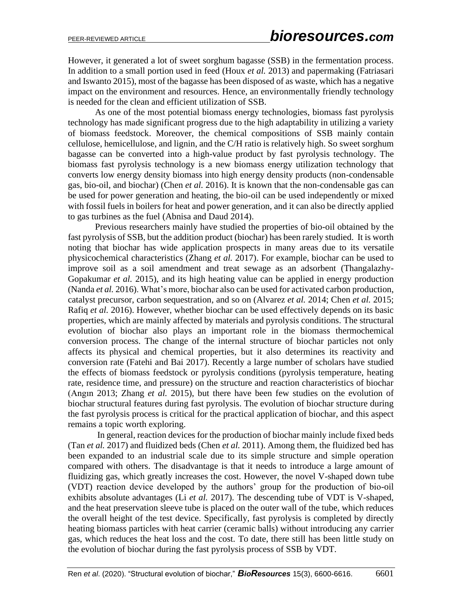However, it generated a lot of sweet sorghum bagasse (SSB) in the fermentation process. In addition to a small portion used in feed (Houx *et al.* 2013) and papermaking (Fatriasari and Iswanto 2015), most of the bagasse has been disposed of as waste, which has a negative impact on the environment and resources. Hence, an environmentally friendly technology is needed for the clean and efficient utilization of SSB.

As one of the most potential biomass energy technologies, biomass fast pyrolysis technology has made significant progress due to the high adaptability in utilizing a variety of biomass feedstock. Moreover, the chemical compositions of SSB mainly contain cellulose, hemicellulose, and lignin, and the C/H ratio is relatively high. So sweet sorghum bagasse can be converted into a high-value product by fast pyrolysis technology. The biomass fast pyrolysis technology is a new biomass energy utilization technology that converts low energy density biomass into high energy density products (non-condensable gas, bio-oil, and biochar) (Chen *et al.* 2016). It is known that the non-condensable gas can be used for power generation and heating, the bio-oil can be used independently or mixed with fossil fuels in boilers for heat and power generation, and it can also be directly applied to gas turbines as the fuel (Abnisa and Daud 2014).

Previous researchers mainly have studied the properties of bio-oil obtained by the fast pyrolysis of SSB, but the addition product (biochar) has been rarely studied. It is worth noting that biochar has wide application prospects in many areas due to its versatile physicochemical characteristics (Zhang *et al.* 2017). For example, biochar can be used to improve soil as a soil amendment and treat sewage as an adsorbent (Thangalazhy-Gopakumar *et al.* 2015), and its high heating value can be applied in energy production (Nanda *et al.* 2016). What's more, biochar also can be used for activated carbon production, catalyst precursor, carbon sequestration, and so on (Alvarez *et al.* 2014; Chen *et al.* 2015; Rafiq *et al.* 2016). However, whether biochar can be used effectively depends on its basic properties, which are mainly affected by materials and pyrolysis conditions. The structural evolution of biochar also plays an important role in the biomass thermochemical conversion process. The change of the internal structure of biochar particles not only affects its physical and chemical properties, but it also determines its reactivity and conversion rate (Fatehi and Bai 2017). Recently a large number of scholars have studied the effects of biomass feedstock or pyrolysis conditions (pyrolysis temperature, heating rate, residence time, and pressure) on the structure and reaction characteristics of biochar (Angın 2013; Zhang *et al.* 2015), but there have been few studies on the evolution of biochar structural features during fast pyrolysis. The evolution of biochar structure during the fast pyrolysis process is critical for the practical application of biochar, and this aspect remains a topic worth exploring.

In general, reaction devices for the production of biochar mainly include fixed beds (Tan *et al.* 2017) and fluidized beds (Chen *et al.* 2011). Among them, the fluidized bed has been expanded to an industrial scale due to its simple structure and simple operation compared with others. The disadvantage is that it needs to introduce a large amount of fluidizing gas, which greatly increases the cost. However, the novel V-shaped down tube (VDT) reaction device developed by the authors' group for the production of bio-oil exhibits absolute advantages (Li *et al.* 2017). The descending tube of VDT is V-shaped, and the heat preservation sleeve tube is placed on the outer wall of the tube, which reduces the overall height of the test device. Specifically, fast pyrolysis is completed by directly heating biomass particles with heat carrier (ceramic balls) without introducing any carrier gas, which reduces the heat loss and the cost. To date, there still has been little study on the evolution of biochar during the fast pyrolysis process of SSB by VDT.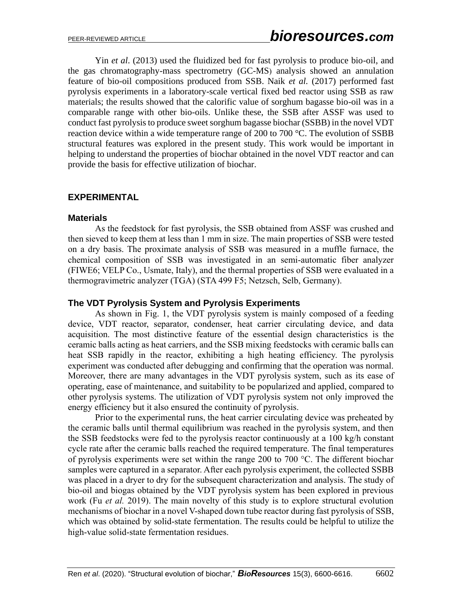Yin *et al*. (2013) used the fluidized bed for fast pyrolysis to produce bio-oil, and the gas chromatography-mass spectrometry (GC-MS) analysis showed an annulation feature of bio-oil compositions produced from SSB. Naik *et al.* (2017) performed fast pyrolysis experiments in a laboratory-scale vertical fixed bed reactor using SSB as raw materials; the results showed that the calorific value of sorghum bagasse bio-oil was in a comparable range with other bio-oils. Unlike these, the SSB after ASSF was used to conduct fast pyrolysis to produce sweet sorghum bagasse biochar (SSBB) in the novel VDT reaction device within a wide temperature range of 200 to 700 °C. The evolution of SSBB structural features was explored in the present study. This work would be important in helping to understand the properties of biochar obtained in the novel VDT reactor and can provide the basis for effective utilization of biochar.

## **EXPERIMENTAL**

#### **Materials**

As the feedstock for fast pyrolysis, the SSB obtained from ASSF was crushed and then sieved to keep them at less than 1 mm in size. The main properties of SSB were tested on a dry basis. The proximate analysis of SSB was measured in a muffle furnace, the chemical composition of SSB was investigated in an semi-automatic fiber analyzer (FIWE6; VELP Co., Usmate, Italy), and the thermal properties of SSB were evaluated in a thermogravimetric analyzer (TGA) (STA 499 F5; Netzsch, Selb, Germany).

## **The VDT Pyrolysis System and Pyrolysis Experiments**

As shown in Fig. 1, the VDT pyrolysis system is mainly composed of a feeding device, VDT reactor, separator, condenser, heat carrier circulating device, and data acquisition. The most distinctive feature of the essential design characteristics is the ceramic balls acting as heat carriers, and the SSB mixing feedstocks with ceramic balls can heat SSB rapidly in the reactor, exhibiting a high heating efficiency. The pyrolysis experiment was conducted after debugging and confirming that the operation was normal. Moreover, there are many advantages in the VDT pyrolysis system, such as its ease of operating, ease of maintenance, and suitability to be popularized and applied, compared to other pyrolysis systems. The utilization of VDT pyrolysis system not only improved the energy efficiency but it also ensured the continuity of pyrolysis.

Prior to the experimental runs, the heat carrier circulating device was preheated by the ceramic balls until thermal equilibrium was reached in the pyrolysis system, and then the SSB feedstocks were fed to the pyrolysis reactor continuously at a 100 kg/h constant cycle rate after the ceramic balls reached the required temperature. The final temperatures of pyrolysis experiments were set within the range 200 to 700 °C. The different biochar samples were captured in a separator. After each pyrolysis experiment, the collected SSBB was placed in a dryer to dry for the subsequent characterization and analysis. The study of bio-oil and biogas obtained by the VDT pyrolysis system has been explored in previous work (Fu *et al.* 2019). The main novelty of this study is to explore structural evolution mechanisms of biochar in a novel V-shaped down tube reactor during fast pyrolysis of SSB, which was obtained by solid-state fermentation. The results could be helpful to utilize the high-value solid-state fermentation residues.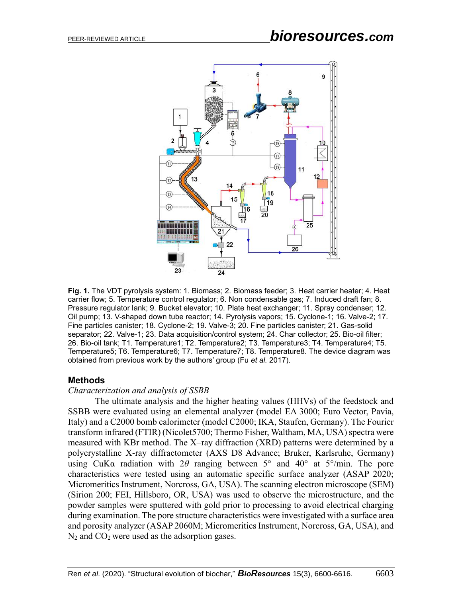

**Fig. 1.** The VDT pyrolysis system: 1. Biomass; 2. Biomass feeder; 3. Heat carrier heater; 4. Heat carrier flow; 5. Temperature control regulator; 6. Non condensable gas; 7. Induced draft fan; 8. Pressure regulator lank; 9. Bucket elevator; 10. Plate heat exchanger; 11. Spray condenser; 12. Oil pump; 13. V-shaped down tube reactor; 14. Pyrolysis vapors; 15. Cyclone-1; 16. Valve-2; 17. Fine particles canister; 18. Cyclone-2; 19. Valve-3; 20. Fine particles canister; 21. Gas-solid separator; 22. Valve-1; 23. Data acquisition/control system; 24. Char collector; 25. Bio-oil filter; 26. Bio-oil tank; T1. Temperature1; T2. Temperature2; T3. Temperature3; T4. Temperature4; T5. Temperature5; T6. Temperature6; T7. Temperature7; T8. Temperature8. The device diagram was obtained from previous work by the authors' group (Fu *et al.* 2017).

#### **Methods**

#### *Characterization and analysis of SSBB*

The ultimate analysis and the higher heating values (HHVs) of the feedstock and SSBB were evaluated using an elemental analyzer (model EA 3000; Euro Vector, Pavia, Italy) and a C2000 bomb calorimeter (model C2000; IKA, Staufen, Germany). The Fourier transform infrared (FTIR) (Nicolet5700; Thermo Fisher, Waltham, MA, USA) spectra were measured with KBr method. The X–ray diffraction (XRD) patterns were determined by a polycrystalline X-ray diffractometer (AXS D8 Advance; Bruker, Karlsruhe, Germany) using CuKa radiation with  $2\theta$  ranging between  $5^{\circ}$  and  $40^{\circ}$  at  $5^{\circ}/\text{min}$ . The pore characteristics were tested using an automatic specific surface analyzer (ASAP 2020; Micromeritics Instrument, Norcross, GA, USA). The scanning electron microscope (SEM) (Sirion 200; FEI, Hillsboro, OR, USA) was used to observe the microstructure, and the powder samples were sputtered with gold prior to processing to avoid electrical charging during examination. The pore structure characteristics were investigated with a surface area and porosity analyzer (ASAP 2060M; Micromeritics Instrument, Norcross, GA, USA), and N<sub>2</sub> and CO<sub>2</sub> were used as the adsorption gases.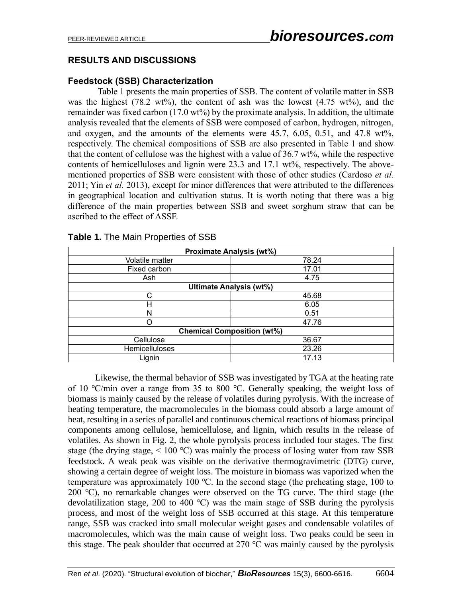# **RESULTS AND DISCUSSIONS**

## **Feedstock (SSB) Characterization**

Table 1 presents the main properties of SSB. The content of volatile matter in SSB was the highest (78.2 wt%), the content of ash was the lowest (4.75 wt%), and the remainder was fixed carbon (17.0 wt%) by the proximate analysis. In addition, the ultimate analysis revealed that the elements of SSB were composed of carbon, hydrogen, nitrogen, and oxygen, and the amounts of the elements were  $45.7, 6.05, 0.51,$  and  $47.8 \text{ wt\%}$ , respectively. The chemical compositions of SSB are also presented in Table 1 and show that the content of cellulose was the highest with a value of 36.7 wt%, while the respective contents of hemicelluloses and lignin were 23.3 and 17.1 wt%, respectively. The abovementioned properties of SSB were consistent with those of other studies (Cardoso *et al.* 2011; Yin *et al.* 2013), except for minor differences that were attributed to the differences in geographical location and cultivation status. It is worth noting that there was a big difference of the main properties between SSB and sweet sorghum straw that can be ascribed to the effect of ASSF.

| <b>Proximate Analysis (wt%)</b>   |       |  |  |  |  |
|-----------------------------------|-------|--|--|--|--|
| Volatile matter                   | 78.24 |  |  |  |  |
| Fixed carbon                      | 17.01 |  |  |  |  |
| Ash                               | 4.75  |  |  |  |  |
| <b>Ultimate Analysis (wt%)</b>    |       |  |  |  |  |
| C                                 | 45.68 |  |  |  |  |
| н                                 | 6.05  |  |  |  |  |
| N                                 | 0.51  |  |  |  |  |
| ∩                                 | 47.76 |  |  |  |  |
| <b>Chemical Composition (wt%)</b> |       |  |  |  |  |
| Cellulose                         | 36.67 |  |  |  |  |
| <b>Hemicelluloses</b>             | 23.26 |  |  |  |  |
| Lignin                            | 17.13 |  |  |  |  |

#### **Table 1.** The Main Properties of SSB

Likewise, the thermal behavior of SSB was investigated by TGA at the heating rate of 10 ℃/min over a range from 35 to 800 ℃. Generally speaking, the weight loss of biomass is mainly caused by the release of volatiles during pyrolysis. With the increase of heating temperature, the macromolecules in the biomass could absorb a large amount of heat, resulting in a series of parallel and continuous chemical reactions of biomass principal components among cellulose, hemicellulose, and lignin, which results in the release of volatiles. As shown in Fig. 2, the whole pyrolysis process included four stages. The first stage (the drying stage,  $\leq 100$  °C) was mainly the process of losing water from raw SSB feedstock. A weak peak was visible on the derivative thermogravimetric (DTG) curve, showing a certain degree of weight loss. The moisture in biomass was vaporized when the temperature was approximately 100 ℃. In the second stage (the preheating stage, 100 to 200 ℃), no remarkable changes were observed on the TG curve. The third stage (the devolatilization stage, 200 to 400 ℃) was the main stage of SSB during the pyrolysis process, and most of the weight loss of SSB occurred at this stage. At this temperature range, SSB was cracked into small molecular weight gases and condensable volatiles of macromolecules, which was the main cause of weight loss. Two peaks could be seen in this stage. The peak shoulder that occurred at  $270 \degree C$  was mainly caused by the pyrolysis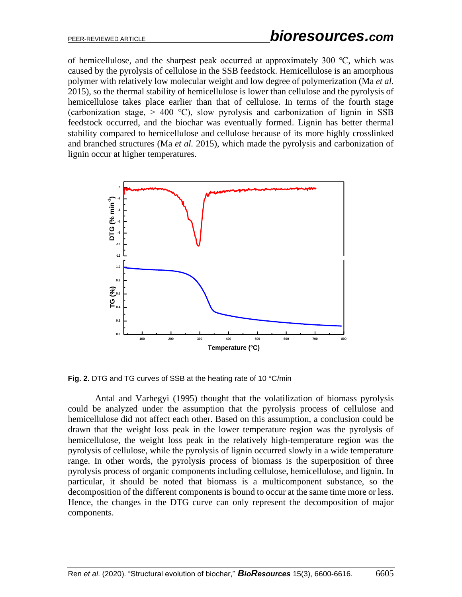of hemicellulose, and the sharpest peak occurred at approximately 300 ℃, which was caused by the pyrolysis of cellulose in the SSB feedstock. Hemicellulose is an amorphous polymer with relatively low molecular weight and low degree of polymerization (Ma *et al.* 2015), so the thermal stability of hemicellulose is lower than cellulose and the pyrolysis of hemicellulose takes place earlier than that of cellulose. In terms of the fourth stage (carbonization stage,  $> 400$  °C), slow pyrolysis and carbonization of lignin in SSB feedstock occurred, and the biochar was eventually formed. Lignin has better thermal stability compared to hemicellulose and cellulose because of its more highly crosslinked and branched structures (Ma *et al.* 2015), which made the pyrolysis and carbonization of lignin occur at higher temperatures.



**Fig. 2.** DTG and TG curves of SSB at the heating rate of 10 °C/min

Antal and Varhegyi (1995) thought that the volatilization of biomass pyrolysis could be analyzed under the assumption that the pyrolysis process of cellulose and hemicellulose did not affect each other. Based on this assumption, a conclusion could be drawn that the weight loss peak in the lower temperature region was the pyrolysis of hemicellulose, the weight loss peak in the relatively high-temperature region was the pyrolysis of cellulose, while the pyrolysis of lignin occurred slowly in a wide temperature range. In other words, the pyrolysis process of biomass is the superposition of three pyrolysis process of organic components including cellulose, hemicellulose, and lignin. In particular, it should be noted that biomass is a multicomponent substance, so the decomposition of the different components is bound to occur at the same time more or less. Hence, the changes in the DTG curve can only represent the decomposition of major components.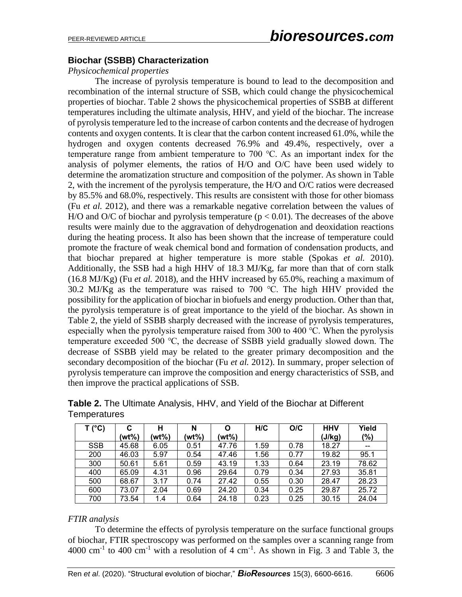## **Biochar (SSBB) Characterization**

## *Physicochemical properties*

The increase of pyrolysis temperature is bound to lead to the decomposition and recombination of the internal structure of SSB, which could change the physicochemical properties of biochar. Table 2 shows the physicochemical properties of SSBB at different temperatures including the ultimate analysis, HHV, and yield of the biochar. The increase of pyrolysis temperature led to the increase of carbon contents and the decrease of hydrogen contents and oxygen contents. It is clear that the carbon content increased 61.0%, while the hydrogen and oxygen contents decreased 76.9% and 49.4%, respectively, over a temperature range from ambient temperature to 700 ℃. As an important index for the analysis of polymer elements, the ratios of H/O and O/C have been used widely to determine the aromatization structure and composition of the polymer. As shown in Table 2, with the increment of the pyrolysis temperature, the H/O and O/C ratios were decreased by 85.5% and 68.0%, respectively. This results are consistent with those for other biomass (Fu *et al.* 2012), and there was a remarkable negative correlation between the values of H/O and O/C of biochar and pyrolysis temperature ( $p < 0.01$ ). The decreases of the above results were mainly due to the aggravation of dehydrogenation and deoxidation reactions during the heating process. It also has been shown that the increase of temperature could promote the fracture of weak chemical bond and formation of condensation products, and that biochar prepared at higher temperature is more stable (Spokas *et al.* 2010). Additionally, the SSB had a high HHV of 18.3 MJ/Kg, far more than that of corn stalk (16.8 MJ/Kg) (Fu *et al.* 2018), and the HHV increased by 65.0%, reaching a maximum of 30.2 MJ/Kg as the temperature was raised to 700 ℃. The high HHV provided the possibility for the application of biochar in biofuels and energy production. Other than that, the pyrolysis temperature is of great importance to the yield of the biochar. As shown in Table 2, the yield of SSBB sharply decreased with the increase of pyrolysis temperatures, especially when the pyrolysis temperature raised from 300 to 400 ℃. When the pyrolysis temperature exceeded 500 ℃, the decrease of SSBB yield gradually slowed down. The decrease of SSBB yield may be related to the greater primary decomposition and the secondary decomposition of the biochar (Fu *et al.* 2012). In summary, proper selection of pyrolysis temperature can improve the composition and energy characteristics of SSB, and then improve the practical applications of SSB.

| T (°C)     | С<br>(wt%) | н<br>(wt%) | N<br>(wt%) | O<br>(wt%) | H/C  | O/C  | <b>HHV</b><br>(J/kg) | Yield<br>(%) |
|------------|------------|------------|------------|------------|------|------|----------------------|--------------|
| <b>SSB</b> | 45.68      | 6.05       | 0.51       | 47.76      | 1.59 | 0.78 | 18.27                | --           |
| 200        | 46.03      | 5.97       | 0.54       | 47.46      | 1.56 | 0.77 | 19.82                | 95.1         |
| 300        | 50.61      | 5.61       | 0.59       | 43.19      | 1.33 | 0.64 | 23.19                | 78.62        |
| 400        | 65.09      | 4.31       | 0.96       | 29.64      | 0.79 | 0.34 | 27.93                | 35.81        |
| 500        | 68.67      | 3.17       | 0.74       | 27.42      | 0.55 | 0.30 | 28.47                | 28.23        |
| 600        | 73.07      | 2.04       | 0.69       | 24.20      | 0.34 | 0.25 | 29.87                | 25.72        |
| 700        | 73.54      | 1.4        | 0.64       | 24.18      | 0.23 | 0.25 | 30.15                | 24.04        |

**Table 2.** The Ultimate Analysis, HHV, and Yield of the Biochar at Different **Temperatures** 

## *FTIR analysis*

To determine the effects of pyrolysis temperature on the surface functional groups of biochar, FTIR spectroscopy was performed on the samples over a scanning range from  $4000 \text{ cm}^{-1}$  to  $400 \text{ cm}^{-1}$  with a resolution of  $4 \text{ cm}^{-1}$ . As shown in Fig. 3 and Table 3, the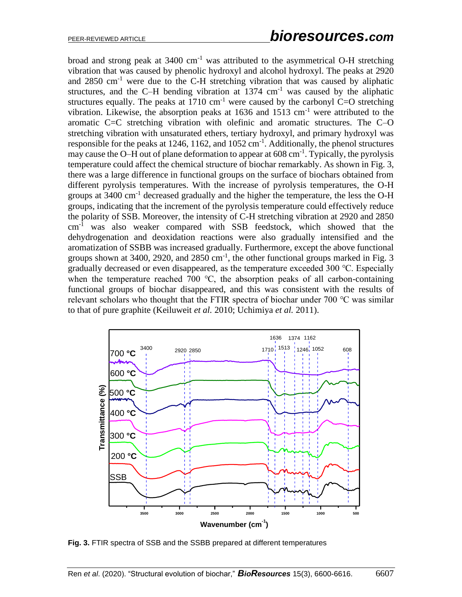broad and strong peak at  $3400 \text{ cm}^{-1}$  was attributed to the asymmetrical O-H stretching vibration that was caused by phenolic hydroxyl and alcohol hydroxyl. The peaks at 2920 and  $2850 \text{ cm}^{-1}$  were due to the C-H stretching vibration that was caused by aliphatic structures, and the C–H bending vibration at  $1374 \text{ cm}^{-1}$  was caused by the aliphatic structures equally. The peaks at  $1710 \text{ cm}^{-1}$  were caused by the carbonyl C=O stretching vibration. Likewise, the absorption peaks at  $1636$  and  $1513$  cm<sup>-1</sup> were attributed to the aromatic C=C stretching vibration with olefinic and aromatic structures. The C–O stretching vibration with unsaturated ethers, tertiary hydroxyl, and primary hydroxyl was responsible for the peaks at 1246, 1162, and  $1052 \text{ cm}^{-1}$ . Additionally, the phenol structures may cause the O–H out of plane deformation to appear at 608 cm<sup>-1</sup>. Typically, the pyrolysis temperature could affect the chemical structure of biochar remarkably. As shown in Fig. 3, there was a large difference in functional groups on the surface of biochars obtained from different pyrolysis temperatures. With the increase of pyrolysis temperatures, the O-H groups at  $3400 \text{ cm}^{-1}$  decreased gradually and the higher the temperature, the less the O-H groups, indicating that the increment of the pyrolysis temperature could effectively reduce the polarity of SSB. Moreover, the intensity of C-H stretching vibration at 2920 and 2850 cm-1 was also weaker compared with SSB feedstock, which showed that the dehydrogenation and deoxidation reactions were also gradually intensified and the aromatization of SSBB was increased gradually. Furthermore, except the above functional groups shown at 3400, 2920, and  $2850 \text{ cm}^{-1}$ , the other functional groups marked in Fig. 3 gradually decreased or even disappeared, as the temperature exceeded 300 ℃. Especially when the temperature reached 700 °C, the absorption peaks of all carbon-containing functional groups of biochar disappeared, and this was consistent with the results of relevant scholars who thought that the FTIR spectra of biochar under 700 ℃ was similar to that of pure graphite (Keiluweit *et al.* 2010; Uchimiya *et al.* 2011).



**Fig. 3.** FTIR spectra of SSB and the SSBB prepared at different temperatures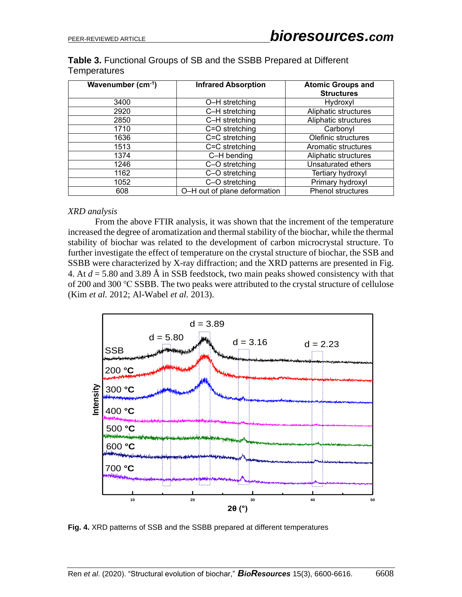| Wavenumber (cm-1) | <b>Infrared Absorption</b> | <b>Atomic Groups and</b><br><b>Structures</b> |
|-------------------|----------------------------|-----------------------------------------------|
| 3400              | O-H stretching             | Hydroxyl                                      |
| 2920              | C-H stretching             | Aliphatic structures                          |
| 2850              | C-H stretching             | Aliphatic structures                          |
| 1710              | C=O stretching             | Carbonyl                                      |
| 1636              | C=C stretching             | Olefinic structures                           |
| 1513              | C=C stretching             | Aromatic structures                           |
| 1374              | C-H bending                | Aliphatic structures                          |
| 1246              | C-O stretching             | Unsaturated ethers                            |
| 1162              | C-O stretching             | Tertiary hydroxyl                             |

**Table 3.** Functional Groups of SB and the SSBB Prepared at Different **Temperatures** 

#### *XRD analysis*

From the above FTIR analysis, it was shown that the increment of the temperature increased the degree of aromatization and thermal stability of the biochar, while the thermal stability of biochar was related to the development of carbon microcrystal structure. To further investigate the effect of temperature on the crystal structure of biochar, the SSB and SSBB were characterized by X-ray diffraction; and the XRD patterns are presented in Fig. 4. At *d* = 5.80 and 3.89 Å in SSB feedstock, two main peaks showed consistency with that of 200 and 300 ℃ SSBB. The two peaks were attributed to the crystal structure of cellulose (Kim *et al.* 2012; Al-Wabel *et al.* 2013).

1052 **C–O** stretching **Primary hydroxyl** 608 **C** O–H out of plane deformation Phenol structures



**Fig. 4.** XRD patterns of SSB and the SSBB prepared at different temperatures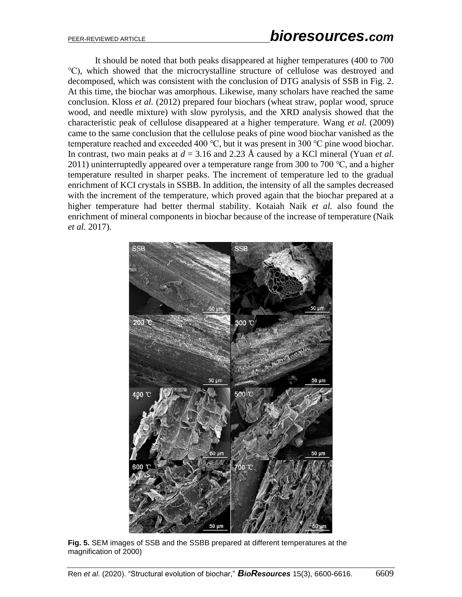It should be noted that both peaks disappeared at higher temperatures (400 to 700 ℃), which showed that the microcrystalline structure of cellulose was destroyed and decomposed, which was consistent with the conclusion of DTG analysis of SSB in Fig. 2. At this time, the biochar was amorphous. Likewise, many scholars have reached the same conclusion. Kloss *et al.* (2012) prepared four biochars (wheat straw, poplar wood, spruce wood, and needle mixture) with slow pyrolysis, and the XRD analysis showed that the characteristic peak of cellulose disappeared at a higher temperature. Wang *et al.* (2009) came to the same conclusion that the cellulose peaks of pine wood biochar vanished as the temperature reached and exceeded 400 °C, but it was present in 300 °C pine wood biochar. In contrast, two main peaks at *d* = 3.16 and 2.23 Å caused by a KCl mineral (Yuan *et al.* 2011) uninterruptedly appeared over a temperature range from 300 to 700  $\degree$ C, and a higher temperature resulted in sharper peaks. The increment of temperature led to the gradual enrichment of KCI crystals in SSBB. In addition, the intensity of all the samples decreased with the increment of the temperature, which proved again that the biochar prepared at a higher temperature had better thermal stability. Kotaiah Naik *et al.* also found the enrichment of mineral components in biochar because of the increase of temperature (Naik *et al.* 2017).



**Fig. 5.** SEM images of SSB and the SSBB prepared at different temperatures at the magnification of 2000)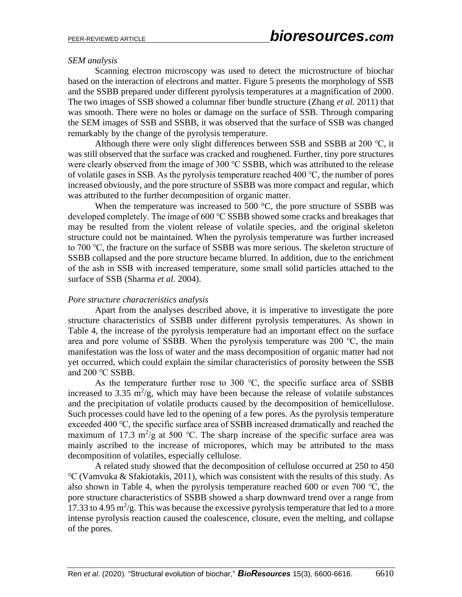#### *SEM analysis*

Scanning electron microscopy was used to detect the microstructure of biochar based on the interaction of electrons and matter. Figure 5 presents the morphology of SSB and the SSBB prepared under different pyrolysis temperatures at a magnification of 2000. The two images of SSB showed a columnar fiber bundle structure (Zhang *et al.* 2011) that was smooth. There were no holes or damage on the surface of SSB. Through comparing the SEM images of SSB and SSBB, it was observed that the surface of SSB was changed remarkably by the change of the pyrolysis temperature.

Although there were only slight differences between SSB and SSBB at 200 ℃, it was still observed that the surface was cracked and roughened. Further, tiny pore structures were clearly observed from the image of 300 ℃ SSBB, which was attributed to the release of volatile gases in SSB. As the pyrolysis temperature reached 400 ℃, the number of pores increased obviously, and the pore structure of SSBB was more compact and regular, which was attributed to the further decomposition of organic matter.

When the temperature was increased to 500  $^{\circ}$ C, the pore structure of SSBB was developed completely. The image of 600 ℃ SSBB showed some cracks and breakages that may be resulted from the violent release of volatile species, and the original skeleton structure could not be maintained. When the pyrolysis temperature was further increased to 700 ℃, the fracture on the surface of SSBB was more serious. The skeleton structure of SSBB collapsed and the pore structure became blurred. In addition, due to the enrichment of the ash in SSB with increased temperature, some small solid particles attached to the surface of SSB (Sharma *et al.* 2004).

#### *Pore structure characteristics analysis*

Apart from the analyses described above, it is imperative to investigate the pore structure characteristics of SSBB under different pyrolysis temperatures. As shown in Table 4, the increase of the pyrolysis temperature had an important effect on the surface area and pore volume of SSBB. When the pyrolysis temperature was 200 ℃, the main manifestation was the loss of water and the mass decomposition of organic matter had not yet occurred, which could explain the similar characteristics of porosity between the SSB and 200 ℃ SSBB.

As the temperature further rose to 300  $\degree$ C, the specific surface area of SSBB increased to 3.35  $\mathrm{m}^2/\mathrm{g}$ , which may have been because the release of volatile substances and the precipitation of volatile products caused by the decomposition of hemicellulose. Such processes could have led to the opening of a few pores. As the pyrolysis temperature exceeded 400 ℃, the specific surface area of SSBB increased dramatically and reached the maximum of 17.3 m<sup>2</sup>/g at 500 °C. The sharp increase of the specific surface area was mainly ascribed to the increase of micropores, which may be attributed to the mass decomposition of volatiles, especially cellulose.

A related study showed that the decomposition of cellulose occurred at 250 to 450 ℃ (Vamvuka & Sfakiotakis, 2011), which was consistent with the results of this study. As also shown in Table 4, when the pyrolysis temperature reached 600 or even 700 ℃, the pore structure characteristics of SSBB showed a sharp downward trend over a range from 17.33 to 4.95  $\text{m}^2/\text{g}$ . This was because the excessive pyrolysis temperature that led to a more intense pyrolysis reaction caused the coalescence, closure, even the melting, and collapse of the pores.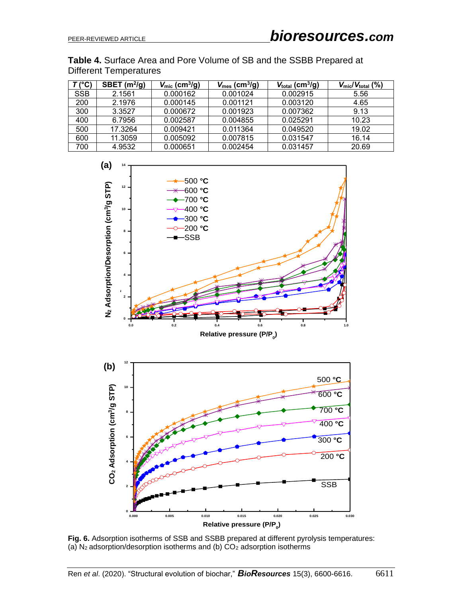**Table 4.** Surface Area and Pore Volume of SB and the SSBB Prepared at Different Temperatures

| $T$ (°C)   | SBET $(m^2/g)$ | $V_{\text{mic}}$ (cm <sup>3</sup> /g) | $V_{\text{mes}}$ (cm <sup>3</sup> /g) | $V_{\text{total}}$ (cm <sup>3</sup> /g) | $V_{\text{mic}}/V_{\text{total}}$ (%) |
|------------|----------------|---------------------------------------|---------------------------------------|-----------------------------------------|---------------------------------------|
| <b>SSB</b> | 2.1561         | 0.000162                              | 0.001024                              | 0.002915                                | 5.56                                  |
| 200        | 2.1976         | 0.000145                              | 0.001121                              | 0.003120                                | 4.65                                  |
| 300        | 3.3527         | 0.000672                              | 0.001923                              | 0.007362                                | 9.13                                  |
| 400        | 6.7956         | 0.002587                              | 0.004855                              | 0.025291                                | 10.23                                 |
| 500        | 17.3264        | 0.009421                              | 0.011364                              | 0.049520                                | 19.02                                 |
| 600        | 11.3059        | 0.005092                              | 0.007815                              | 0.031547                                | 16.14                                 |
| 700        | 4.9532         | 0.000651                              | 0.002454                              | 0.031457                                | 20.69                                 |



**Fig. 6.** Adsorption isotherms of SSB and SSBB prepared at different pyrolysis temperatures: (a)  $N_2$  adsorption/desorption isotherms and (b)  $CO_2$  adsorption isotherms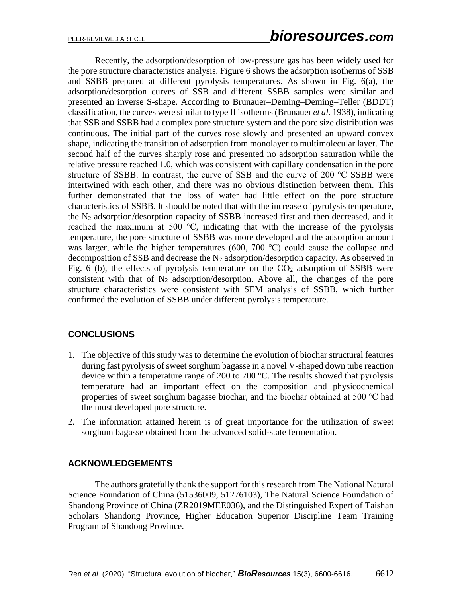Recently, the adsorption/desorption of low-pressure gas has been widely used for the pore structure characteristics analysis. Figure 6 shows the adsorption isotherms of SSB and SSBB prepared at different pyrolysis temperatures. As shown in Fig. 6(a), the adsorption/desorption curves of SSB and different SSBB samples were similar and presented an inverse S-shape. According to Brunauer–Deming–Deming–Teller (BDDT) classification, the curves were similar to type II isotherms (Brunauer *et al.* 1938), indicating that SSB and SSBB had a complex pore structure system and the pore size distribution was continuous. The initial part of the curves rose slowly and presented an upward convex shape, indicating the transition of adsorption from monolayer to multimolecular layer. The second half of the curves sharply rose and presented no adsorption saturation while the relative pressure reached 1.0, which was consistent with capillary condensation in the pore structure of SSBB. In contrast, the curve of SSB and the curve of 200 ℃ SSBB were intertwined with each other, and there was no obvious distinction between them. This further demonstrated that the loss of water had little effect on the pore structure characteristics of SSBB. It should be noted that with the increase of pyrolysis temperature, the  $N_2$  adsorption/desorption capacity of SSBB increased first and then decreased, and it reached the maximum at 500 ℃, indicating that with the increase of the pyrolysis temperature, the pore structure of SSBB was more developed and the adsorption amount was larger, while the higher temperatures (600, 700 ℃) could cause the collapse and decomposition of SSB and decrease the  $N_2$  adsorption/desorption capacity. As observed in Fig. 6 (b), the effects of pyrolysis temperature on the  $CO<sub>2</sub>$  adsorption of SSBB were consistent with that of  $N_2$  adsorption/desorption. Above all, the changes of the pore structure characteristics were consistent with SEM analysis of SSBB, which further confirmed the evolution of SSBB under different pyrolysis temperature.

## **CONCLUSIONS**

- 1. The objective of this study was to determine the evolution of biochar structural features during fast pyrolysis of sweet sorghum bagasse in a novel V-shaped down tube reaction device within a temperature range of 200 to 700 °C. The results showed that pyrolysis temperature had an important effect on the composition and physicochemical properties of sweet sorghum bagasse biochar, and the biochar obtained at 500 ℃ had the most developed pore structure.
- 2. The information attained herein is of great importance for the utilization of sweet sorghum bagasse obtained from the advanced solid-state fermentation.

## **ACKNOWLEDGEMENTS**

The authors gratefully thank the support for this research from The National Natural Science Foundation of China (51536009, 51276103), The Natural Science Foundation of Shandong Province of China (ZR2019MEE036), and the Distinguished Expert of Taishan Scholars Shandong Province, Higher Education Superior Discipline Team Training Program of Shandong Province.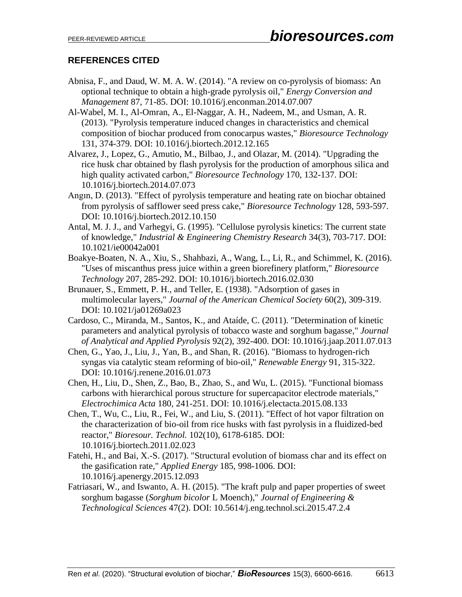# **REFERENCES CITED**

- Abnisa, F., and Daud, W. M. A. W. (2014). "A review on co-pyrolysis of biomass: An optional technique to obtain a high-grade pyrolysis oil," *Energy Conversion and Management* 87, 71-85. DOI: 10.1016/j.enconman.2014.07.007
- Al-Wabel, M. I., Al-Omran, A., El-Naggar, A. H., Nadeem, M., and Usman, A. R. (2013). "Pyrolysis temperature induced changes in characteristics and chemical composition of biochar produced from conocarpus wastes," *Bioresource Technology* 131, 374-379. DOI: 10.1016/j.biortech.2012.12.165
- Alvarez, J., Lopez, G., Amutio, M., Bilbao, J., and Olazar, M. (2014). "Upgrading the rice husk char obtained by flash pyrolysis for the production of amorphous silica and high quality activated carbon," *Bioresource Technology* 170, 132-137. DOI: 10.1016/j.biortech.2014.07.073
- Angın, D. (2013). "Effect of pyrolysis temperature and heating rate on biochar obtained from pyrolysis of safflower seed press cake," *Bioresource Technology* 128, 593-597. DOI: 10.1016/j.biortech.2012.10.150
- Antal, M. J. J., and Varhegyi, G. (1995). "Cellulose pyrolysis kinetics: The current state of knowledge," *Industrial & Engineering Chemistry Research* 34(3), 703-717. DOI: 10.1021/ie00042a001
- Boakye-Boaten, N. A., Xiu, S., Shahbazi, A., Wang, L., Li, R., and Schimmel, K. (2016). "Uses of miscanthus press juice within a green biorefinery platform," *Bioresource Technology* 207, 285-292. DOI: 10.1016/j.biortech.2016.02.030
- Brunauer, S., Emmett, P. H., and Teller, E. (1938). "Adsorption of gases in multimolecular layers," *Journal of the American Chemical Society* 60(2), 309-319. DOI: 10.1021/ja01269a023
- Cardoso, C., Miranda, M., Santos, K., and Ataíde, C. (2011). "Determination of kinetic parameters and analytical pyrolysis of tobacco waste and sorghum bagasse," *Journal of Analytical and Applied Pyrolysis* 92(2), 392-400. DOI: 10.1016/j.jaap.2011.07.013
- Chen, G., Yao, J., Liu, J., Yan, B., and Shan, R. (2016). "Biomass to hydrogen-rich syngas via catalytic steam reforming of bio-oil," *Renewable Energy* 91, 315-322. DOI: 10.1016/j.renene.2016.01.073
- Chen, H., Liu, D., Shen, Z., Bao, B., Zhao, S., and Wu, L. (2015). "Functional biomass carbons with hierarchical porous structure for supercapacitor electrode materials," *Electrochimica Acta* 180, 241-251. DOI: 10.1016/j.electacta.2015.08.133
- Chen, T., Wu, C., Liu, R., Fei, W., and Liu, S. (2011). "Effect of hot vapor filtration on the characterization of bio-oil from rice husks with fast pyrolysis in a fluidized-bed reactor," *Bioresour. Technol.* 102(10), 6178-6185. DOI: 10.1016/j.biortech.2011.02.023
- Fatehi, H., and Bai, X.-S. (2017). "Structural evolution of biomass char and its effect on the gasification rate," *Applied Energy* 185, 998-1006. DOI: 10.1016/j.apenergy.2015.12.093
- Fatriasari, W., and Iswanto, A. H. (2015). "The kraft pulp and paper properties of sweet sorghum bagasse (*Sorghum bicolor* L Moench)," *Journal of Engineering & Technological Sciences* 47(2). DOI: 10.5614/j.eng.technol.sci.2015.47.2.4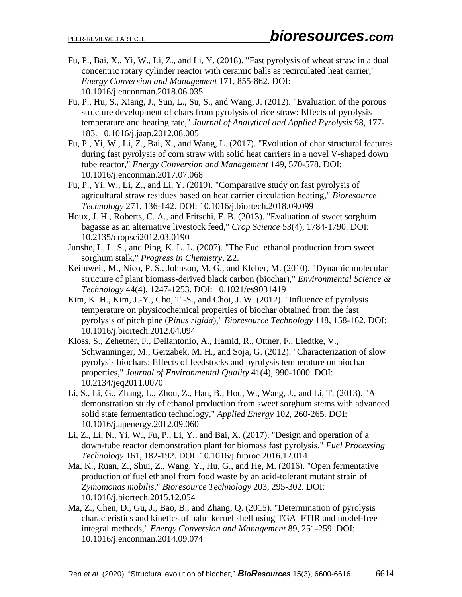- Fu, P., Bai, X., Yi, W., Li, Z., and Li, Y. (2018). "Fast pyrolysis of wheat straw in a dual concentric rotary cylinder reactor with ceramic balls as recirculated heat carrier," *Energy Conversion and Management* 171, 855-862. DOI: 10.1016/j.enconman.2018.06.035
- Fu, P., Hu, S., Xiang, J., Sun, L., Su, S., and Wang, J. (2012). "Evaluation of the porous structure development of chars from pyrolysis of rice straw: Effects of pyrolysis temperature and heating rate," *Journal of Analytical and Applied Pyrolysis* 98, 177- 183. 10.1016/j.jaap.2012.08.005
- Fu, P., Yi, W., Li, Z., Bai, X., and Wang, L. (2017). "Evolution of char structural features during fast pyrolysis of corn straw with solid heat carriers in a novel V-shaped down tube reactor," *Energy Conversion and Management* 149, 570-578. DOI: 10.1016/j.enconman.2017.07.068
- Fu, P., Yi, W., Li, Z., and Li, Y. (2019). "Comparative study on fast pyrolysis of agricultural straw residues based on heat carrier circulation heating," *Bioresource Technology* 271, 136-142. DOI: 10.1016/j.biortech.2018.09.099
- Houx, J. H., Roberts, C. A., and Fritschi, F. B. (2013). "Evaluation of sweet sorghum bagasse as an alternative livestock feed," *Crop Science* 53(4), 1784-1790. DOI: 10.2135/cropsci2012.03.0190
- Junshe, L. L. S., and Ping, K. L. L. (2007). "The Fuel ethanol production from sweet sorghum stalk," *Progress in Chemistry*, Z2.
- Keiluweit, M., Nico, P. S., Johnson, M. G., and Kleber, M. (2010). "Dynamic molecular structure of plant biomass-derived black carbon (biochar)," *Environmental Science & Technology* 44(4), 1247-1253. DOI: 10.1021/es9031419
- Kim, K. H., Kim, J.-Y., Cho, T.-S., and Choi, J. W. (2012). "Influence of pyrolysis temperature on physicochemical properties of biochar obtained from the fast pyrolysis of pitch pine (*Pinus rigida*)," *Bioresource Technology* 118, 158-162. DOI: 10.1016/j.biortech.2012.04.094
- Kloss, S., Zehetner, F., Dellantonio, A., Hamid, R., Ottner, F., Liedtke, V., Schwanninger, M., Gerzabek, M. H., and Soja, G. (2012). "Characterization of slow pyrolysis biochars: Effects of feedstocks and pyrolysis temperature on biochar properties," *Journal of Environmental Quality* 41(4), 990-1000. DOI: 10.2134/jeq2011.0070
- Li, S., Li, G., Zhang, L., Zhou, Z., Han, B., Hou, W., Wang, J., and Li, T. (2013). "A demonstration study of ethanol production from sweet sorghum stems with advanced solid state fermentation technology," *Applied Energy* 102, 260-265. DOI: 10.1016/j.apenergy.2012.09.060
- Li, Z., Li, N., Yi, W., Fu, P., Li, Y., and Bai, X. (2017). "Design and operation of a down-tube reactor demonstration plant for biomass fast pyrolysis," *Fuel Processing Technology* 161, 182-192. DOI: 10.1016/j.fuproc.2016.12.014
- Ma, K., Ruan, Z., Shui, Z., Wang, Y., Hu, G., and He, M. (2016). "Open fermentative production of fuel ethanol from food waste by an acid-tolerant mutant strain of *Zymomonas mobilis*," *Bioresource Technology* 203, 295-302. DOI: 10.1016/j.biortech.2015.12.054
- Ma, Z., Chen, D., Gu, J., Bao, B., and Zhang, Q. (2015). "Determination of pyrolysis characteristics and kinetics of palm kernel shell using TGA–FTIR and model-free integral methods," *Energy Conversion and Management* 89, 251-259. DOI: 10.1016/j.enconman.2014.09.074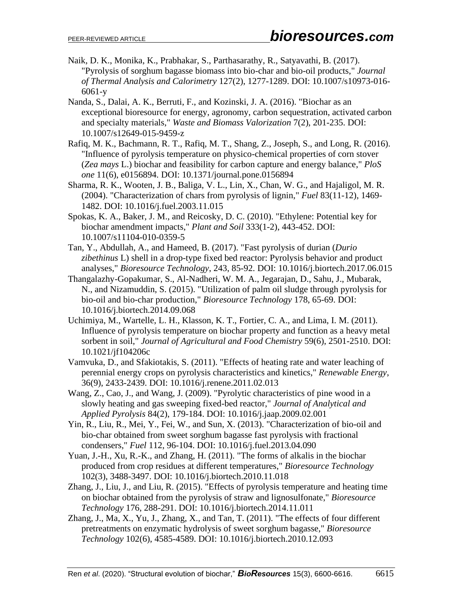- Naik, D. K., Monika, K., Prabhakar, S., Parthasarathy, R., Satyavathi, B. (2017). "Pyrolysis of sorghum bagasse biomass into bio-char and bio-oil products," *Journal of Thermal Analysis and Calorimetry* 127(2), 1277-1289. DOI: 10.1007/s10973-016- 6061-y
- Nanda, S., Dalai, A. K., Berruti, F., and Kozinski, J. A. (2016). "Biochar as an exceptional bioresource for energy, agronomy, carbon sequestration, activated carbon and specialty materials," *Waste and Biomass Valorization* 7(2), 201-235. DOI: 10.1007/s12649-015-9459-z
- Rafiq, M. K., Bachmann, R. T., Rafiq, M. T., Shang, Z., Joseph, S., and Long, R. (2016). "Influence of pyrolysis temperature on physico-chemical properties of corn stover (*Zea mays* L.) biochar and feasibility for carbon capture and energy balance," *PloS one* 11(6), e0156894. DOI: 10.1371/journal.pone.0156894
- Sharma, R. K., Wooten, J. B., Baliga, V. L., Lin, X., Chan, W. G., and Hajaligol, M. R. (2004). "Characterization of chars from pyrolysis of lignin," *Fuel* 83(11-12), 1469- 1482. DOI: 10.1016/j.fuel.2003.11.015
- Spokas, K. A., Baker, J. M., and Reicosky, D. C. (2010). "Ethylene: Potential key for biochar amendment impacts," *Plant and Soil* 333(1-2), 443-452. DOI: 10.1007/s11104-010-0359-5
- Tan, Y., Abdullah, A., and Hameed, B. (2017). "Fast pyrolysis of durian (*Durio zibethinus* L) shell in a drop-type fixed bed reactor: Pyrolysis behavior and product analyses," *Bioresource Technology*, 243, 85-92. DOI: 10.1016/j.biortech.2017.06.015
- Thangalazhy-Gopakumar, S., Al-Nadheri, W. M. A., Jegarajan, D., Sahu, J., Mubarak, N., and Nizamuddin, S. (2015). "Utilization of palm oil sludge through pyrolysis for bio-oil and bio-char production," *Bioresource Technology* 178, 65-69. DOI: 10.1016/j.biortech.2014.09.068
- Uchimiya, M., Wartelle, L. H., Klasson, K. T., Fortier, C. A., and Lima, I. M. (2011). Influence of pyrolysis temperature on biochar property and function as a heavy metal sorbent in soil," *Journal of Agricultural and Food Chemistry* 59(6), 2501-2510. DOI: 10.1021/jf104206c
- Vamvuka, D., and Sfakiotakis, S. (2011). "Effects of heating rate and water leaching of perennial energy crops on pyrolysis characteristics and kinetics," *Renewable Energy*, 36(9), 2433-2439. DOI: 10.1016/j.renene.2011.02.013
- Wang, Z., Cao, J., and Wang, J. (2009). "Pyrolytic characteristics of pine wood in a slowly heating and gas sweeping fixed-bed reactor," *Journal of Analytical and Applied Pyrolysis* 84(2), 179-184. DOI: 10.1016/j.jaap.2009.02.001
- Yin, R., Liu, R., Mei, Y., Fei, W., and Sun, X. (2013). "Characterization of bio-oil and bio-char obtained from sweet sorghum bagasse fast pyrolysis with fractional condensers," *Fuel* 112, 96-104. DOI: 10.1016/j.fuel.2013.04.090
- Yuan, J.-H., Xu, R.-K., and Zhang, H. (2011). "The forms of alkalis in the biochar produced from crop residues at different temperatures," *Bioresource Technology* 102(3), 3488-3497. DOI: 10.1016/j.biortech.2010.11.018
- Zhang, J., Liu, J., and Liu, R. (2015). "Effects of pyrolysis temperature and heating time on biochar obtained from the pyrolysis of straw and lignosulfonate," *Bioresource Technology* 176, 288-291. DOI: 10.1016/j.biortech.2014.11.011
- Zhang, J., Ma, X., Yu, J., Zhang, X., and Tan, T. (2011). "The effects of four different pretreatments on enzymatic hydrolysis of sweet sorghum bagasse," *Bioresource Technology* 102(6), 4585-4589. DOI: 10.1016/j.biortech.2010.12.093